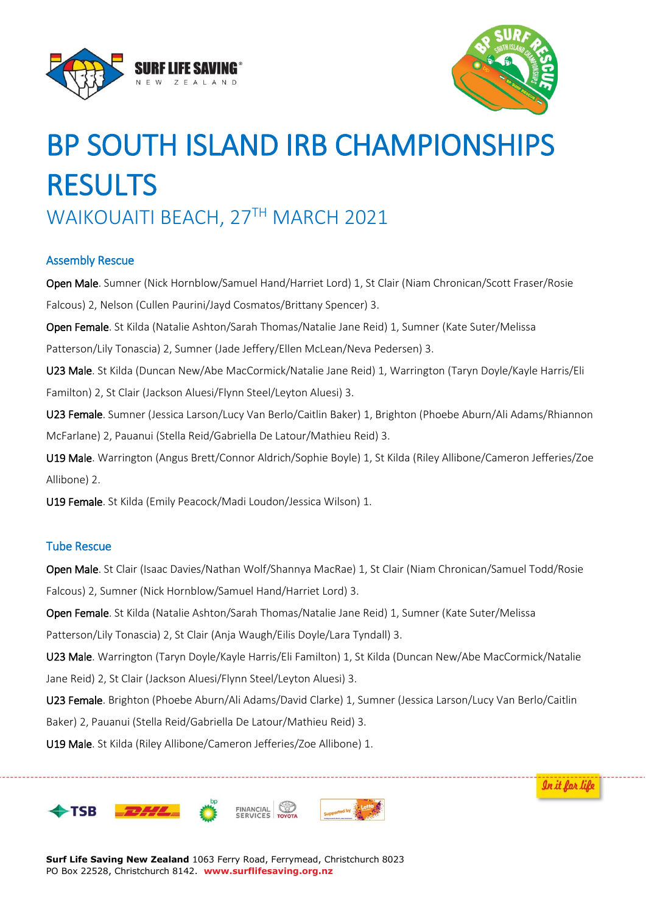



In it for life

# BP SOUTH ISLAND IRB CHAMPIONSHIPS RESULTS WAIKOUAITI BEACH, 27TH MARCH 2021

## Assembly Rescue

Open Male. Sumner (Nick Hornblow/Samuel Hand/Harriet Lord) 1, St Clair (Niam Chronican/Scott Fraser/Rosie Falcous) 2, Nelson (Cullen Paurini/Jayd Cosmatos/Brittany Spencer) 3. Open Female. St Kilda (Natalie Ashton/Sarah Thomas/Natalie Jane Reid) 1, Sumner (Kate Suter/Melissa Patterson/Lily Tonascia) 2, Sumner (Jade Jeffery/Ellen McLean/Neva Pedersen) 3. U23 Male. St Kilda (Duncan New/Abe MacCormick/Natalie Jane Reid) 1, Warrington (Taryn Doyle/Kayle Harris/Eli Familton) 2, St Clair (Jackson Aluesi/Flynn Steel/Leyton Aluesi) 3. U23 Female. Sumner (Jessica Larson/Lucy Van Berlo/Caitlin Baker) 1, Brighton (Phoebe Aburn/Ali Adams/Rhiannon McFarlane) 2, Pauanui (Stella Reid/Gabriella De Latour/Mathieu Reid) 3. U19 Male. Warrington (Angus Brett/Connor Aldrich/Sophie Boyle) 1, St Kilda (Riley Allibone/Cameron Jefferies/Zoe

Allibone) 2.

U19 Female. St Kilda (Emily Peacock/Madi Loudon/Jessica Wilson) 1.

## Tube Rescue

Open Male. St Clair (Isaac Davies/Nathan Wolf/Shannya MacRae) 1, St Clair (Niam Chronican/Samuel Todd/Rosie Falcous) 2, Sumner (Nick Hornblow/Samuel Hand/Harriet Lord) 3.

Open Female. St Kilda (Natalie Ashton/Sarah Thomas/Natalie Jane Reid) 1, Sumner (Kate Suter/Melissa

Patterson/Lily Tonascia) 2, St Clair (Anja Waugh/Eilis Doyle/Lara Tyndall) 3.

U23 Male. Warrington (Taryn Doyle/Kayle Harris/Eli Familton) 1, St Kilda (Duncan New/Abe MacCormick/Natalie Jane Reid) 2, St Clair (Jackson Aluesi/Flynn Steel/Leyton Aluesi) 3.

U23 Female. Brighton (Phoebe Aburn/Ali Adams/David Clarke) 1, Sumner (Jessica Larson/Lucy Van Berlo/Caitlin Baker) 2, Pauanui (Stella Reid/Gabriella De Latour/Mathieu Reid) 3.

U19 Male. St Kilda (Riley Allibone/Cameron Jefferies/Zoe Allibone) 1.



**Surf Life Saving New Zealand** 1063 Ferry Road, Ferrymead, Christchurch 8023 PO Box 22528, Christchurch 8142. **www.surflifesaving.org.nz**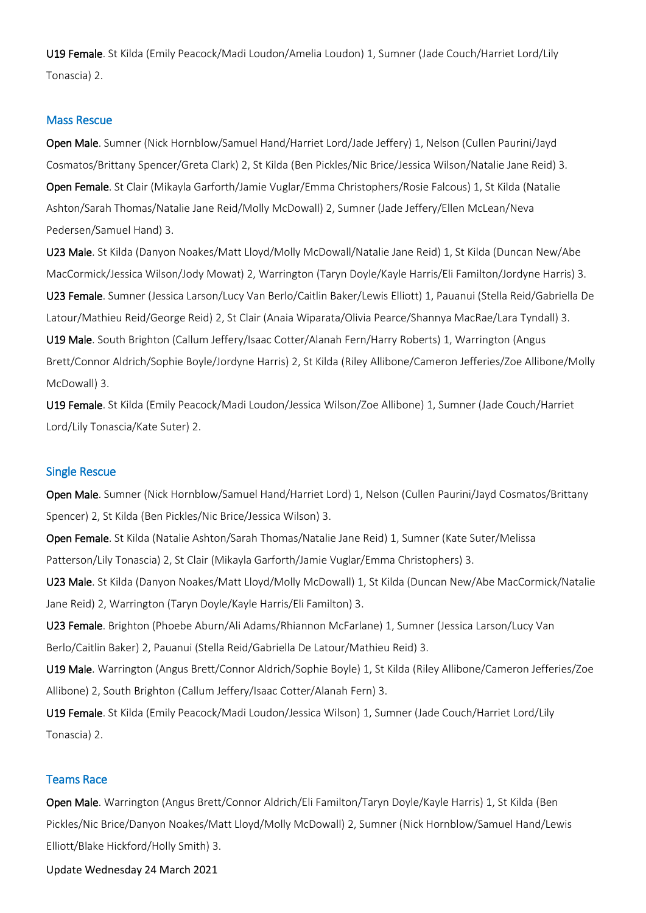U19 Female. St Kilda (Emily Peacock/Madi Loudon/Amelia Loudon) 1, Sumner (Jade Couch/Harriet Lord/Lily Tonascia) 2.

### Mass Rescue

Open Male. Sumner (Nick Hornblow/Samuel Hand/Harriet Lord/Jade Jeffery) 1, Nelson (Cullen Paurini/Jayd Cosmatos/Brittany Spencer/Greta Clark) 2, St Kilda (Ben Pickles/Nic Brice/Jessica Wilson/Natalie Jane Reid) 3. Open Female. St Clair (Mikayla Garforth/Jamie Vuglar/Emma Christophers/Rosie Falcous) 1, St Kilda (Natalie Ashton/Sarah Thomas/Natalie Jane Reid/Molly McDowall) 2, Sumner (Jade Jeffery/Ellen McLean/Neva Pedersen/Samuel Hand) 3.

U23 Male. St Kilda (Danyon Noakes/Matt Lloyd/Molly McDowall/Natalie Jane Reid) 1, St Kilda (Duncan New/Abe MacCormick/Jessica Wilson/Jody Mowat) 2, Warrington (Taryn Doyle/Kayle Harris/Eli Familton/Jordyne Harris) 3. U23 Female. Sumner (Jessica Larson/Lucy Van Berlo/Caitlin Baker/Lewis Elliott) 1, Pauanui (Stella Reid/Gabriella De Latour/Mathieu Reid/George Reid) 2, St Clair (Anaia Wiparata/Olivia Pearce/Shannya MacRae/Lara Tyndall) 3. U19 Male. South Brighton (Callum Jeffery/Isaac Cotter/Alanah Fern/Harry Roberts) 1, Warrington (Angus Brett/Connor Aldrich/Sophie Boyle/Jordyne Harris) 2, St Kilda (Riley Allibone/Cameron Jefferies/Zoe Allibone/Molly McDowall) 3.

U19 Female. St Kilda (Emily Peacock/Madi Loudon/Jessica Wilson/Zoe Allibone) 1, Sumner (Jade Couch/Harriet Lord/Lily Tonascia/Kate Suter) 2.

#### Single Rescue

Open Male. Sumner (Nick Hornblow/Samuel Hand/Harriet Lord) 1, Nelson (Cullen Paurini/Jayd Cosmatos/Brittany Spencer) 2, St Kilda (Ben Pickles/Nic Brice/Jessica Wilson) 3.

Open Female. St Kilda (Natalie Ashton/Sarah Thomas/Natalie Jane Reid) 1, Sumner (Kate Suter/Melissa Patterson/Lily Tonascia) 2, St Clair (Mikayla Garforth/Jamie Vuglar/Emma Christophers) 3.

U23 Male. St Kilda (Danyon Noakes/Matt Lloyd/Molly McDowall) 1, St Kilda (Duncan New/Abe MacCormick/Natalie Jane Reid) 2, Warrington (Taryn Doyle/Kayle Harris/Eli Familton) 3.

U23 Female. Brighton (Phoebe Aburn/Ali Adams/Rhiannon McFarlane) 1, Sumner (Jessica Larson/Lucy Van Berlo/Caitlin Baker) 2, Pauanui (Stella Reid/Gabriella De Latour/Mathieu Reid) 3.

U19 Male. Warrington (Angus Brett/Connor Aldrich/Sophie Boyle) 1, St Kilda (Riley Allibone/Cameron Jefferies/Zoe Allibone) 2, South Brighton (Callum Jeffery/Isaac Cotter/Alanah Fern) 3.

U19 Female. St Kilda (Emily Peacock/Madi Loudon/Jessica Wilson) 1, Sumner (Jade Couch/Harriet Lord/Lily Tonascia) 2.

#### Teams Race

Open Male. Warrington (Angus Brett/Connor Aldrich/Eli Familton/Taryn Doyle/Kayle Harris) 1, St Kilda (Ben Pickles/Nic Brice/Danyon Noakes/Matt Lloyd/Molly McDowall) 2, Sumner (Nick Hornblow/Samuel Hand/Lewis Elliott/Blake Hickford/Holly Smith) 3.

Update Wednesday 24 March 2021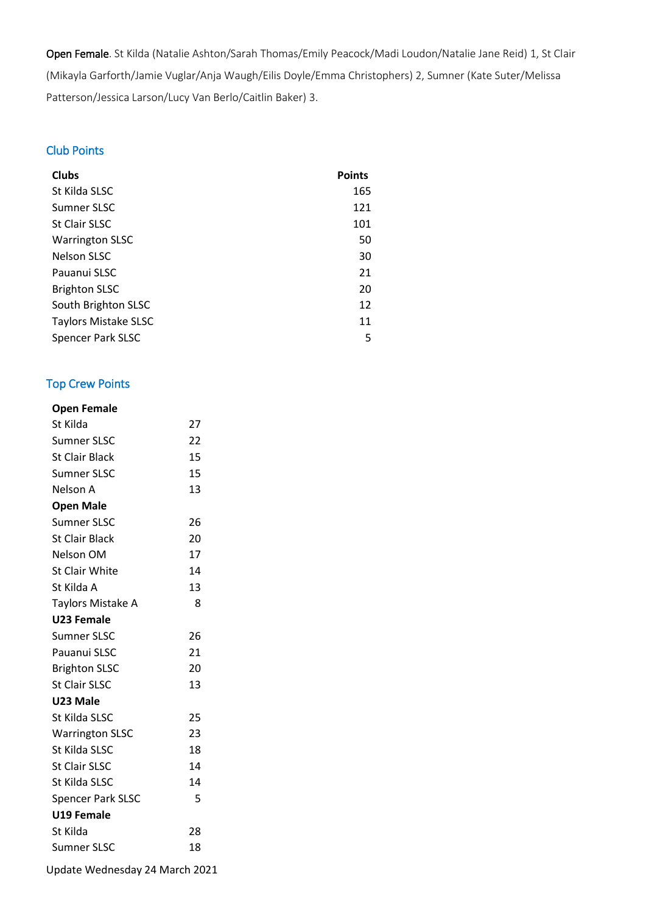Open Female. St Kilda (Natalie Ashton/Sarah Thomas/Emily Peacock/Madi Loudon/Natalie Jane Reid) 1, St Clair (Mikayla Garforth/Jamie Vuglar/Anja Waugh/Eilis Doyle/Emma Christophers) 2, Sumner (Kate Suter/Melissa Patterson/Jessica Larson/Lucy Van Berlo/Caitlin Baker) 3.

## Club Points

| <b>Clubs</b>                | <b>Points</b> |
|-----------------------------|---------------|
| St Kilda SLSC               | 165           |
| Sumner SLSC                 | 121           |
| <b>St Clair SLSC</b>        | 101           |
| <b>Warrington SLSC</b>      | 50            |
| <b>Nelson SLSC</b>          | 30            |
| Pauanui SLSC                | 21            |
| <b>Brighton SLSC</b>        | 20            |
| South Brighton SLSC         | 12            |
| <b>Taylors Mistake SLSC</b> | 11            |
| <b>Spencer Park SLSC</b>    | 5             |

## Top Crew Points

| <b>Open Female</b>       |    |
|--------------------------|----|
| St Kilda                 | 27 |
| Sumner SLSC              | 22 |
| <b>St Clair Black</b>    | 15 |
| <b>Sumner SLSC</b>       | 15 |
| Nelson A                 | 13 |
| <b>Open Male</b>         |    |
| <b>Sumner SLSC</b>       | 26 |
| <b>St Clair Black</b>    | 20 |
| Nelson OM                | 17 |
| <b>St Clair White</b>    | 14 |
| St Kilda A               | 13 |
| Taylors Mistake A        | 8  |
| U23 Female               |    |
| <b>Sumner SLSC</b>       | 26 |
| Pauanui SLSC             | 21 |
| <b>Brighton SLSC</b>     | 20 |
| St Clair SLSC            | 13 |
| U23 Male                 |    |
| St Kilda SLSC            | 25 |
| <b>Warrington SLSC</b>   | 23 |
| St Kilda SLSC            | 18 |
| <b>St Clair SLSC</b>     | 14 |
| St Kilda SLSC            | 14 |
| <b>Spencer Park SLSC</b> | 5  |
| U19 Female               |    |
| St Kilda                 | 28 |
| <b>Sumner SLSC</b>       | 18 |

Update Wednesday 24 March 2021